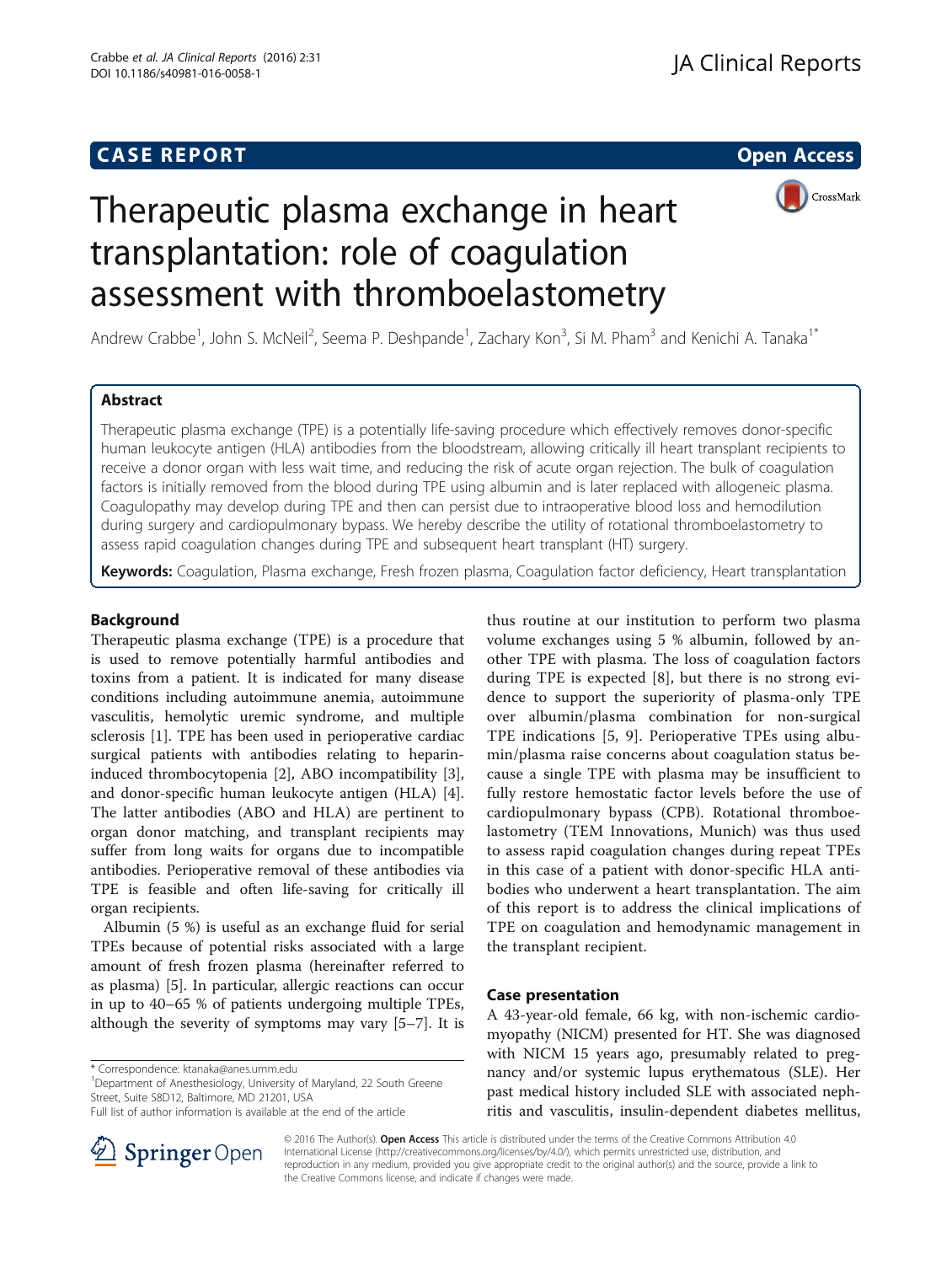## **CASE REPORT CASE REPORT CASE REPORT**

CrossMark

# Therapeutic plasma exchange in heart transplantation: role of coagulation assessment with thromboelastometry

Andrew Crabbe<sup>1</sup>, John S. McNeil<sup>2</sup>, Seema P. Deshpande<sup>1</sup>, Zachary Kon<sup>3</sup>, Si M. Pham<sup>3</sup> and Kenichi A. Tanaka<sup>1\*</sup>

### Abstract

Therapeutic plasma exchange (TPE) is a potentially life-saving procedure which effectively removes donor-specific human leukocyte antigen (HLA) antibodies from the bloodstream, allowing critically ill heart transplant recipients to receive a donor organ with less wait time, and reducing the risk of acute organ rejection. The bulk of coagulation factors is initially removed from the blood during TPE using albumin and is later replaced with allogeneic plasma. Coagulopathy may develop during TPE and then can persist due to intraoperative blood loss and hemodilution during surgery and cardiopulmonary bypass. We hereby describe the utility of rotational thromboelastometry to assess rapid coagulation changes during TPE and subsequent heart transplant (HT) surgery.

Keywords: Coagulation, Plasma exchange, Fresh frozen plasma, Coagulation factor deficiency, Heart transplantation

#### Background

Therapeutic plasma exchange (TPE) is a procedure that is used to remove potentially harmful antibodies and toxins from a patient. It is indicated for many disease conditions including autoimmune anemia, autoimmune vasculitis, hemolytic uremic syndrome, and multiple sclerosis [\[1](#page-3-0)]. TPE has been used in perioperative cardiac surgical patients with antibodies relating to heparininduced thrombocytopenia [\[2](#page-3-0)], ABO incompatibility [\[3](#page-3-0)], and donor-specific human leukocyte antigen (HLA) [\[4](#page-3-0)]. The latter antibodies (ABO and HLA) are pertinent to organ donor matching, and transplant recipients may suffer from long waits for organs due to incompatible antibodies. Perioperative removal of these antibodies via TPE is feasible and often life-saving for critically ill organ recipients.

Albumin (5 %) is useful as an exchange fluid for serial TPEs because of potential risks associated with a large amount of fresh frozen plasma (hereinafter referred to as plasma) [[5\]](#page-3-0). In particular, allergic reactions can occur in up to 40–65 % of patients undergoing multiple TPEs, although the severity of symptoms may vary [\[5](#page-3-0)–[7](#page-4-0)]. It is

\* Correspondence: [ktanaka@anes.umm.edu](mailto:ktanaka@anes.umm.edu) <sup>1</sup>

<sup>1</sup>Department of Anesthesiology, University of Maryland, 22 South Greene Street, Suite S8D12, Baltimore, MD 21201, USA

thus routine at our institution to perform two plasma volume exchanges using 5 % albumin, followed by another TPE with plasma. The loss of coagulation factors during TPE is expected [\[8](#page-4-0)], but there is no strong evidence to support the superiority of plasma-only TPE over albumin/plasma combination for non-surgical TPE indications [[5](#page-3-0), [9](#page-4-0)]. Perioperative TPEs using albumin/plasma raise concerns about coagulation status because a single TPE with plasma may be insufficient to fully restore hemostatic factor levels before the use of cardiopulmonary bypass (CPB). Rotational thromboelastometry (TEM Innovations, Munich) was thus used to assess rapid coagulation changes during repeat TPEs in this case of a patient with donor-specific HLA antibodies who underwent a heart transplantation. The aim of this report is to address the clinical implications of TPE on coagulation and hemodynamic management in the transplant recipient.

#### Case presentation

A 43-year-old female, 66 kg, with non-ischemic cardiomyopathy (NICM) presented for HT. She was diagnosed with NICM 15 years ago, presumably related to pregnancy and/or systemic lupus erythematous (SLE). Her past medical history included SLE with associated nephritis and vasculitis, insulin-dependent diabetes mellitus,



© 2016 The Author(s). Open Access This article is distributed under the terms of the Creative Commons Attribution 4.0 International License ([http://creativecommons.org/licenses/by/4.0/\)](http://creativecommons.org/licenses/by/4.0/), which permits unrestricted use, distribution, and reproduction in any medium, provided you give appropriate credit to the original author(s) and the source, provide a link to the Creative Commons license, and indicate if changes were made.

Full list of author information is available at the end of the article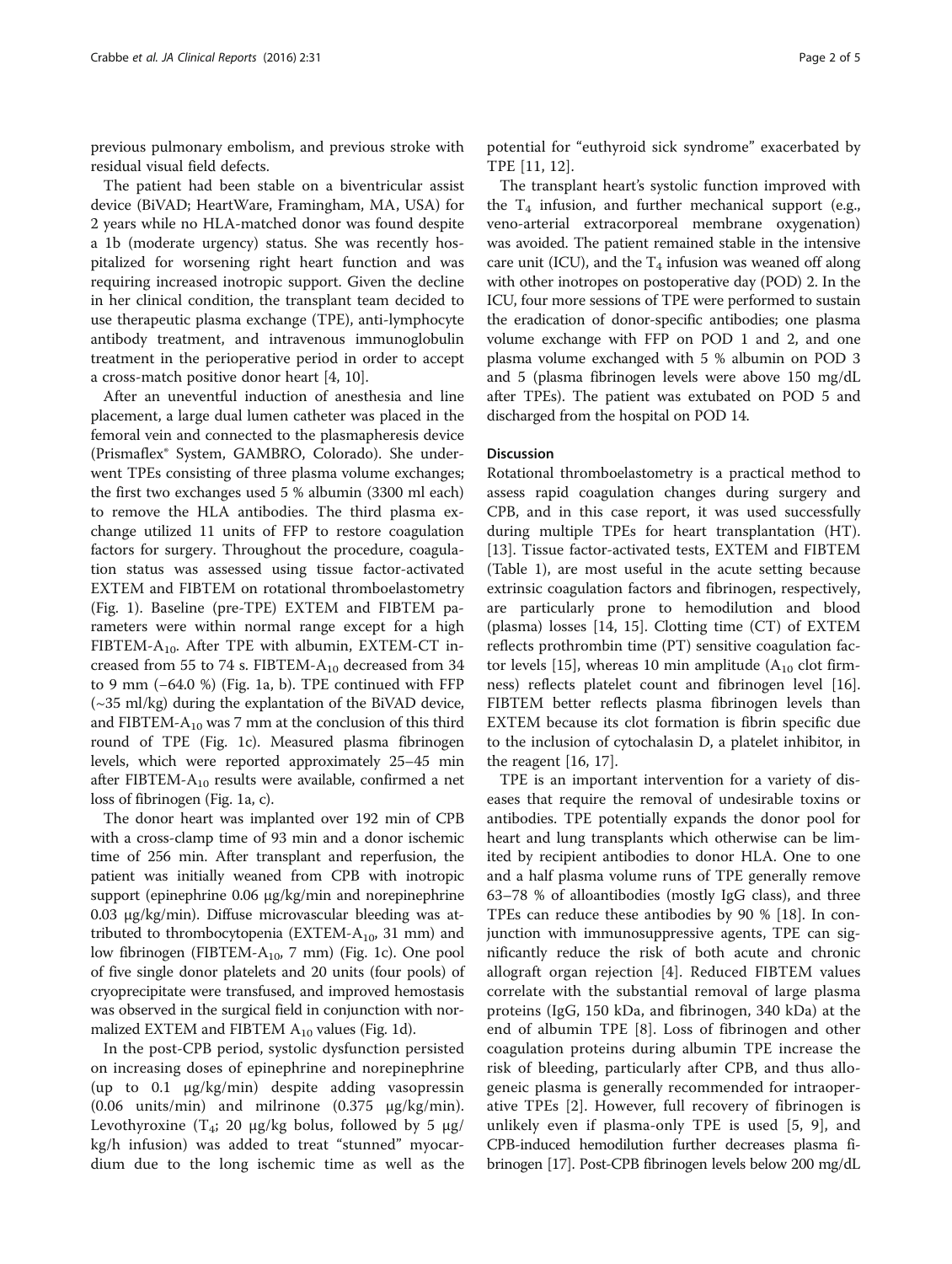previous pulmonary embolism, and previous stroke with residual visual field defects.

The patient had been stable on a biventricular assist device (BiVAD; HeartWare, Framingham, MA, USA) for 2 years while no HLA-matched donor was found despite a 1b (moderate urgency) status. She was recently hospitalized for worsening right heart function and was requiring increased inotropic support. Given the decline in her clinical condition, the transplant team decided to use therapeutic plasma exchange (TPE), anti-lymphocyte antibody treatment, and intravenous immunoglobulin treatment in the perioperative period in order to accept a cross-match positive donor heart [[4,](#page-3-0) [10](#page-4-0)].

After an uneventful induction of anesthesia and line placement, a large dual lumen catheter was placed in the femoral vein and connected to the plasmapheresis device (Prismaflex® System, GAMBRO, Colorado). She underwent TPEs consisting of three plasma volume exchanges; the first two exchanges used 5 % albumin (3300 ml each) to remove the HLA antibodies. The third plasma exchange utilized 11 units of FFP to restore coagulation factors for surgery. Throughout the procedure, coagulation status was assessed using tissue factor-activated EXTEM and FIBTEM on rotational thromboelastometry (Fig. [1](#page-2-0)). Baseline (pre-TPE) EXTEM and FIBTEM parameters were within normal range except for a high FIBTEM- $A_{10}$ . After TPE with albumin, EXTEM-CT increased from 55 to 74 s. FIBTEM- $A_{10}$  decreased from 34 to 9 mm (−64.0 %) (Fig. [1a](#page-2-0), [b\)](#page-2-0). TPE continued with FFP (~35 ml/kg) during the explantation of the BiVAD device, and FIBTEM- $A_{10}$  was 7 mm at the conclusion of this third round of TPE (Fig. [1c\)](#page-2-0). Measured plasma fibrinogen levels, which were reported approximately 25–45 min after FIBTEM- $A_{10}$  results were available, confirmed a net loss of fibrinogen (Fig. [1a](#page-2-0), [c](#page-2-0)).

The donor heart was implanted over 192 min of CPB with a cross-clamp time of 93 min and a donor ischemic time of 256 min. After transplant and reperfusion, the patient was initially weaned from CPB with inotropic support (epinephrine 0.06 μg/kg/min and norepinephrine 0.03 μg/kg/min). Diffuse microvascular bleeding was attributed to thrombocytopenia (EXTEM- $A_{10}$ , 31 mm) and low fibrinogen (FIBTEM-A<sub>10</sub>, 7 mm) (Fig. [1c\)](#page-2-0). One pool of five single donor platelets and 20 units (four pools) of cryoprecipitate were transfused, and improved hemostasis was observed in the surgical field in conjunction with normalized EXTEM and FIBTEM  $A_{10}$  values (Fig. [1d](#page-2-0)).

In the post-CPB period, systolic dysfunction persisted on increasing doses of epinephrine and norepinephrine (up to 0.1 μg/kg/min) despite adding vasopressin (0.06 units/min) and milrinone  $(0.375 \text{ }\mu\text{g/kg/min}).$ Levothyroxine  $(T_4; 20 \mu g/kg)$  bolus, followed by 5  $\mu g$ / kg/h infusion) was added to treat "stunned" myocardium due to the long ischemic time as well as the potential for "euthyroid sick syndrome" exacerbated by TPE [[11, 12\]](#page-4-0).

The transplant heart's systolic function improved with the  $T_4$  infusion, and further mechanical support (e.g., veno-arterial extracorporeal membrane oxygenation) was avoided. The patient remained stable in the intensive care unit (ICU), and the  $T_4$  infusion was weaned off along with other inotropes on postoperative day (POD) 2. In the ICU, four more sessions of TPE were performed to sustain the eradication of donor-specific antibodies; one plasma volume exchange with FFP on POD 1 and 2, and one plasma volume exchanged with 5 % albumin on POD 3 and 5 (plasma fibrinogen levels were above 150 mg/dL after TPEs). The patient was extubated on POD 5 and discharged from the hospital on POD 14.

#### Discussion

Rotational thromboelastometry is a practical method to assess rapid coagulation changes during surgery and CPB, and in this case report, it was used successfully during multiple TPEs for heart transplantation (HT). [[13\]](#page-4-0). Tissue factor-activated tests, EXTEM and FIBTEM (Table [1](#page-3-0)), are most useful in the acute setting because extrinsic coagulation factors and fibrinogen, respectively, are particularly prone to hemodilution and blood (plasma) losses [\[14](#page-4-0), [15](#page-4-0)]. Clotting time (CT) of EXTEM reflects prothrombin time (PT) sensitive coagulation fac-tor levels [\[15](#page-4-0)], whereas 10 min amplitude  $(A_{10}$  clot firmness) reflects platelet count and fibrinogen level [\[16](#page-4-0)]. FIBTEM better reflects plasma fibrinogen levels than EXTEM because its clot formation is fibrin specific due to the inclusion of cytochalasin D, a platelet inhibitor, in the reagent  $[16, 17]$  $[16, 17]$ .

TPE is an important intervention for a variety of diseases that require the removal of undesirable toxins or antibodies. TPE potentially expands the donor pool for heart and lung transplants which otherwise can be limited by recipient antibodies to donor HLA. One to one and a half plasma volume runs of TPE generally remove 63–78 % of alloantibodies (mostly IgG class), and three TPEs can reduce these antibodies by 90 % [[18\]](#page-4-0). In conjunction with immunosuppressive agents, TPE can significantly reduce the risk of both acute and chronic allograft organ rejection [[4\]](#page-3-0). Reduced FIBTEM values correlate with the substantial removal of large plasma proteins (IgG, 150 kDa, and fibrinogen, 340 kDa) at the end of albumin TPE [\[8](#page-4-0)]. Loss of fibrinogen and other coagulation proteins during albumin TPE increase the risk of bleeding, particularly after CPB, and thus allogeneic plasma is generally recommended for intraoperative TPEs [\[2](#page-3-0)]. However, full recovery of fibrinogen is unlikely even if plasma-only TPE is used [\[5](#page-3-0), [9\]](#page-4-0), and CPB-induced hemodilution further decreases plasma fibrinogen [\[17\]](#page-4-0). Post-CPB fibrinogen levels below 200 mg/dL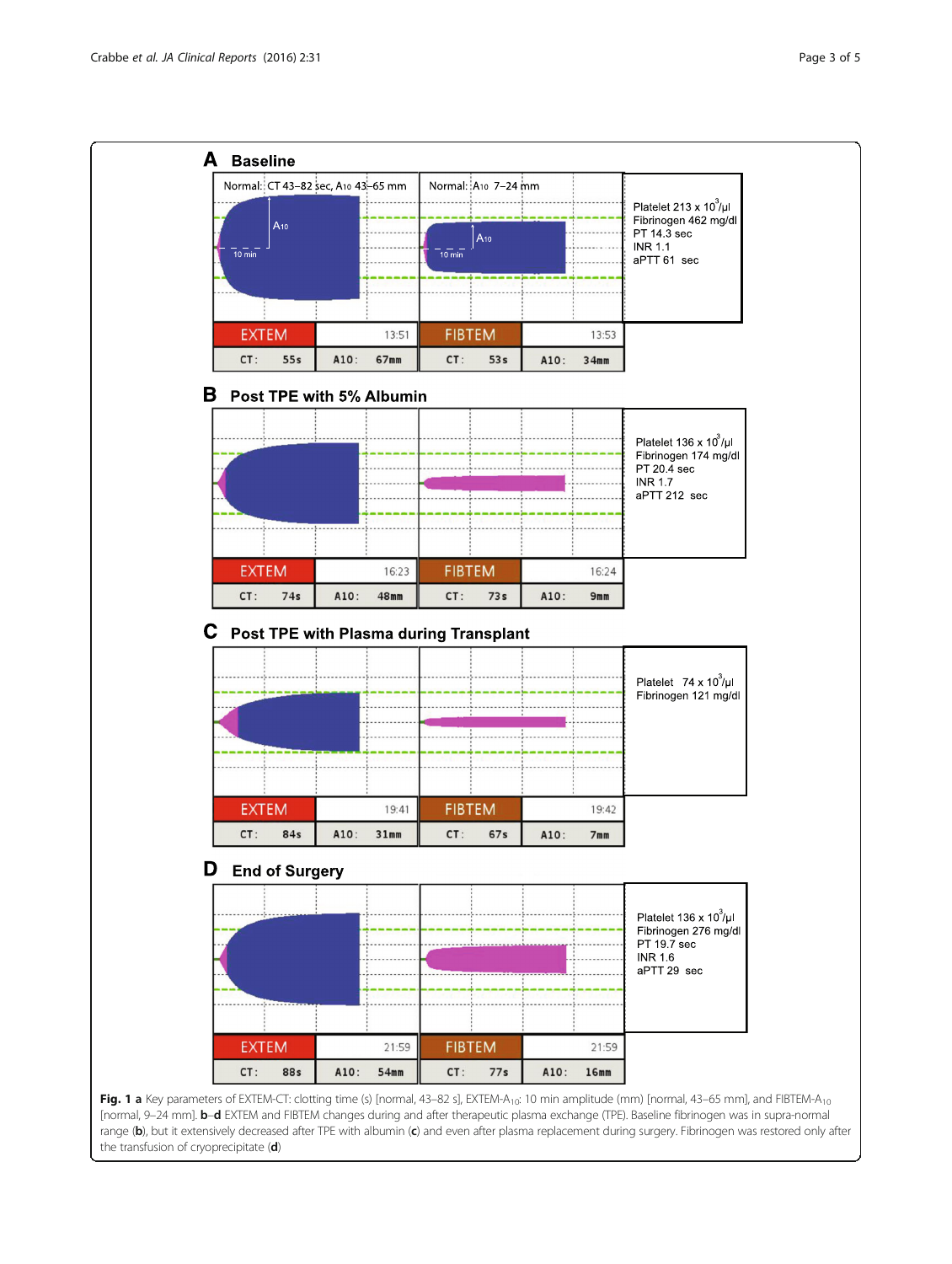<span id="page-2-0"></span>

[normal, 9–24 mm]. b–d EXTEM and FIBTEM changes during and after therapeutic plasma exchange (TPE). Baseline fibrinogen was in supra-normal range (b), but it extensively decreased after TPE with albumin (c) and even after plasma replacement during surgery. Fibrinogen was restored only after the transfusion of cryoprecipitate (d)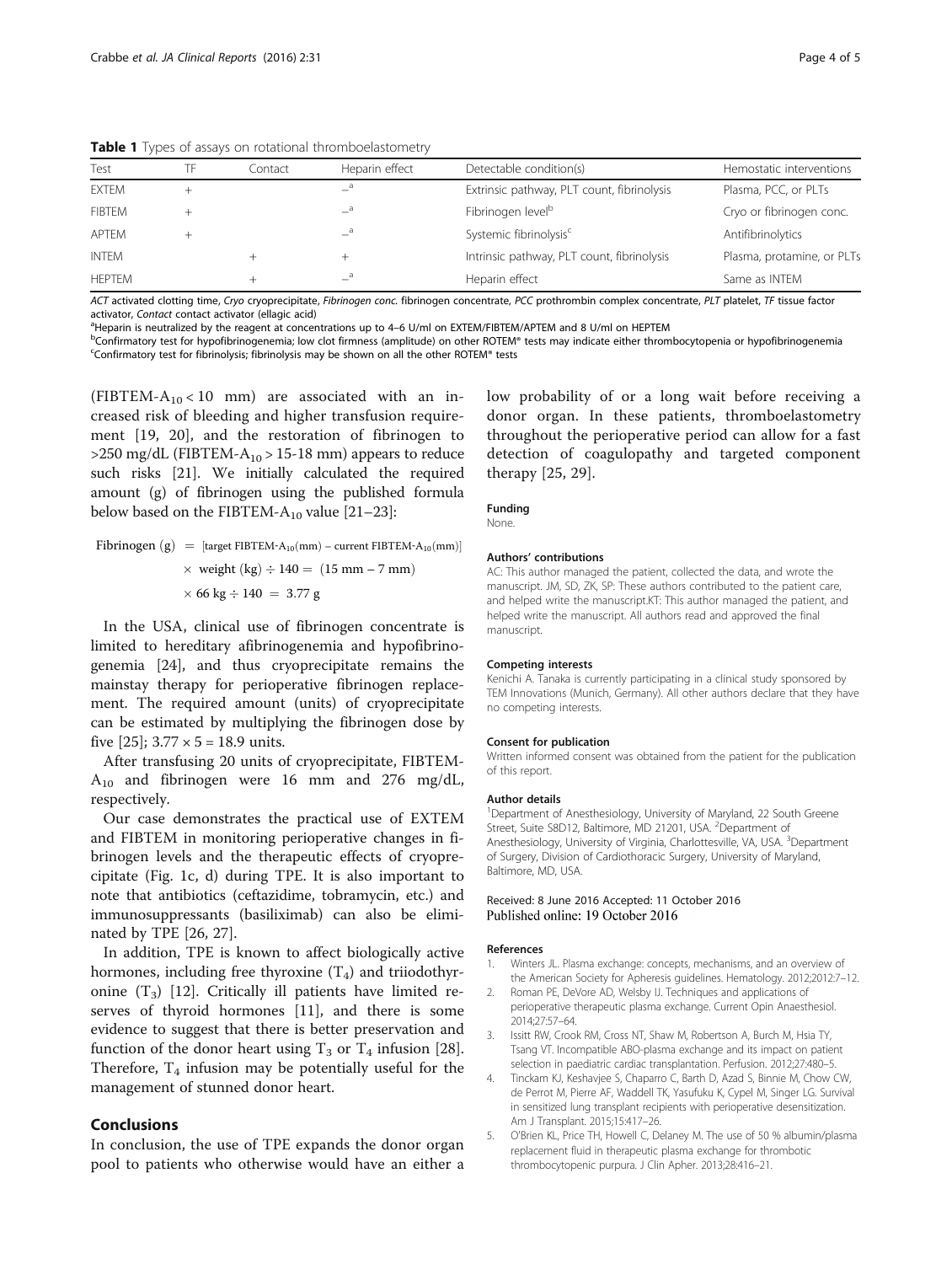| Test<br>Heparin effect<br>Detectable condition(s)<br>Contact<br>a<br><b>EXTEM</b><br>Extrinsic pathway, PLT count, fibrinolysis<br>Plasma, PCC, or PLTs<br>a<br>Fibrinogen level <sup>b</sup><br><b>FIBTEM</b><br>Cryo or fibrinogen conc. | <b>EXECUTE:</b> Types of assays on rotational thrompsetastomictiy |  |  |  |  |                            |  |
|--------------------------------------------------------------------------------------------------------------------------------------------------------------------------------------------------------------------------------------------|-------------------------------------------------------------------|--|--|--|--|----------------------------|--|
|                                                                                                                                                                                                                                            |                                                                   |  |  |  |  | Hemostatic interventions   |  |
|                                                                                                                                                                                                                                            |                                                                   |  |  |  |  |                            |  |
|                                                                                                                                                                                                                                            |                                                                   |  |  |  |  |                            |  |
| $-$ <sup>a</sup><br>Systemic fibrinolysis <sup>c</sup><br>Antifibrinolytics<br>APTEM                                                                                                                                                       |                                                                   |  |  |  |  |                            |  |
| Intrinsic pathway, PLT count, fibrinolysis<br>INTEM<br>$^+$                                                                                                                                                                                |                                                                   |  |  |  |  | Plasma, protamine, or PLTs |  |
| $-{}^a$<br><b>HEPTEM</b><br>Heparin effect<br>Same as INTEM                                                                                                                                                                                |                                                                   |  |  |  |  |                            |  |

<span id="page-3-0"></span>Table 1 Types of assays on rotational thromboelastometry

ACT activated clotting time, Cryo cryoprecipitate, Fibrinogen conc. fibrinogen concentrate, PCC prothrombin complex concentrate, PLT platelet, TF tissue factor activator, Contact contact activator (ellagic acid)

<sup>a</sup>Heparin is neutralized by the reagent at concentrations up to 4–6 U/ml on EXTEM/FIBTEM/APTEM and 8 U/ml on HEPTEM

<sup>b</sup>Confirmatory test for hypofibrinogenemia; low clot firmness (amplitude) on other ROTEM® tests may indicate either thrombocytopenia or hypofibrinogenemia Confirmatory test for fibrinolysis; fibrinolysis may be shown on all the other ROTEM® tests

(FIBTEM- $A_{10}$  < 10 mm) are associated with an increased risk of bleeding and higher transfusion requirement [\[19, 20\]](#page-4-0), and the restoration of fibrinogen to  $>$ 250 mg/dL (FIBTEM-A<sub>10</sub> $>$  15-18 mm) appears to reduce such risks [[21](#page-4-0)]. We initially calculated the required amount (g) of fibrinogen using the published formula below based on the FIBTEM- $A_{10}$  value [\[21](#page-4-0)–[23](#page-4-0)]:

Fibrinogen gðÞ ¼ ½ target FIBTEM‐A10ð Þ mm – current FIBTEM‐A10ð Þ mm weight kg ð Þ 140 ¼ ð Þ 15 mm – 7 mm 66 kg 140 ¼ 3:77 g

In the USA, clinical use of fibrinogen concentrate is limited to hereditary afibrinogenemia and hypofibrinogenemia [\[24\]](#page-4-0), and thus cryoprecipitate remains the mainstay therapy for perioperative fibrinogen replacement. The required amount (units) of cryoprecipitate can be estimated by multiplying the fibrinogen dose by five [\[25\]](#page-4-0);  $3.77 \times 5 = 18.9$  units.

After transfusing 20 units of cryoprecipitate, FIBTEM- $A_{10}$  and fibrinogen were 16 mm and 276 mg/dL, respectively.

Our case demonstrates the practical use of EXTEM and FIBTEM in monitoring perioperative changes in fibrinogen levels and the therapeutic effects of cryoprecipitate (Fig. [1c](#page-2-0), [d\)](#page-2-0) during TPE. It is also important to note that antibiotics (ceftazidime, tobramycin, etc.) and immunosuppressants (basiliximab) can also be eliminated by TPE [\[26](#page-4-0), [27](#page-4-0)].

In addition, TPE is known to affect biologically active hormones, including free thyroxine  $(T_4)$  and triiodothyronine  $(T_3)$  [[12](#page-4-0)]. Critically ill patients have limited reserves of thyroid hormones [\[11](#page-4-0)], and there is some evidence to suggest that there is better preservation and function of the donor heart using  $T_3$  or  $T_4$  infusion [\[28](#page-4-0)]. Therefore,  $T_4$  infusion may be potentially useful for the management of stunned donor heart.

#### Conclusions

In conclusion, the use of TPE expands the donor organ pool to patients who otherwise would have an either a low probability of or a long wait before receiving a donor organ. In these patients, thromboelastometry throughout the perioperative period can allow for a fast detection of coagulopathy and targeted component therapy [[25](#page-4-0), [29](#page-4-0)].

#### Funding

None.

## Authors' contributions

AC: This author managed the patient, collected the data, and wrote the manuscript. JM, SD, ZK, SP: These authors contributed to the patient care, and helped write the manuscript.KT: This author managed the patient, and helped write the manuscript. All authors read and approved the final manuscript.

#### Competing interests

Kenichi A. Tanaka is currently participating in a clinical study sponsored by TEM Innovations (Munich, Germany). All other authors declare that they have no competing interests.

#### Consent for publication

Written informed consent was obtained from the patient for the publication of this report.

#### Author details

<sup>1</sup>Department of Anesthesiology, University of Maryland, 22 South Greene Street, Suite S8D12, Baltimore, MD 21201, USA. <sup>2</sup>Department of Anesthesiology, University of Virginia, Charlottesville, VA, USA. <sup>3</sup>Department of Surgery, Division of Cardiothoracic Surgery, University of Maryland, Baltimore, MD, USA.

## Received: 8 June 2016 Accepted: 11 October 2016

#### References

- 1. Winters JL. Plasma exchange: concepts, mechanisms, and an overview of the American Society for Apheresis guidelines. Hematology. 2012;2012:7–12.
- 2. Roman PE, DeVore AD, Welsby IJ. Techniques and applications of perioperative therapeutic plasma exchange. Current Opin Anaesthesiol. 2014;27:57–64.
- Issitt RW, Crook RM, Cross NT, Shaw M, Robertson A, Burch M, Hsia TY, Tsang VT. Incompatible ABO-plasma exchange and its impact on patient selection in paediatric cardiac transplantation. Perfusion. 2012;27:480–5.
- 4. Tinckam KJ, Keshavjee S, Chaparro C, Barth D, Azad S, Binnie M, Chow CW, de Perrot M, Pierre AF, Waddell TK, Yasufuku K, Cypel M, Singer LG. Survival in sensitized lung transplant recipients with perioperative desensitization. Am J Transplant. 2015;15:417–26.
- 5. O'Brien KL, Price TH, Howell C, Delaney M. The use of 50 % albumin/plasma replacement fluid in therapeutic plasma exchange for thrombotic thrombocytopenic purpura. J Clin Apher. 2013;28:416–21.